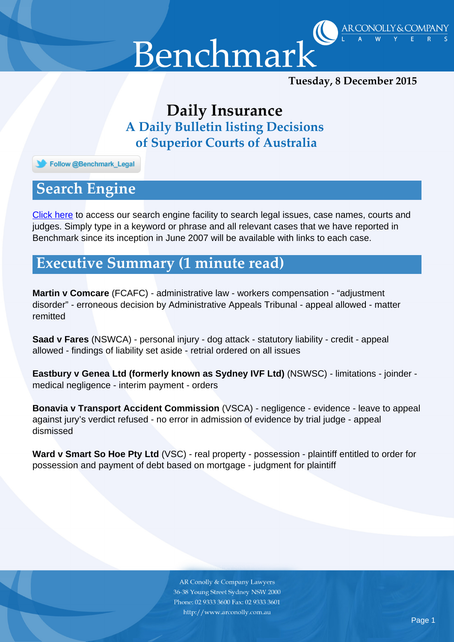

*Tuesday, 8 December 2015*

AR CONOLLY & COMPANY

## *Daily Insurance A Daily Bulletin listing Decisions of Superior Courts of Australia*

Follow @Benchmark\_Legal

## *Search Engine*

[Click here](http://benchmarkinc.com.au/archive.php) to access our search engine facility to search legal issues, case names, courts and judges. Simply type in a keyword or phrase and all relevant cases that we have reported in Benchmark since its inception in June 2007 will be available with links to each case.

## *Executive Summary (1 minute read)*

**Martin v Comcare** (FCAFC) - administrative law - workers compensation - "adjustment disorder" - erroneous decision by Administrative Appeals Tribunal - appeal allowed - matter remitted

**Saad v Fares** (NSWCA) - personal injury - dog attack - statutory liability - credit - appeal allowed - findings of liability set aside - retrial ordered on all issues

**Eastbury v Genea Ltd (formerly known as Sydney IVF Ltd)** (NSWSC) - limitations - joinder medical negligence - interim payment - orders

**Bonavia v Transport Accident Commission** (VSCA) - negligence - evidence - leave to appeal against jury's verdict refused - no error in admission of evidence by trial judge - appeal dismissed

**Ward v Smart So Hoe Pty Ltd** (VSC) - real property - possession - plaintiff entitled to order for possession and payment of debt based on mortgage - judgment for plaintiff

> **AR Conolly & Company Lawyers** 36-38 Young Street Sydney NSW 2000 Phone: 02 9333 3600 Fax: 02 9333 3601 http://www.arconolly.com.au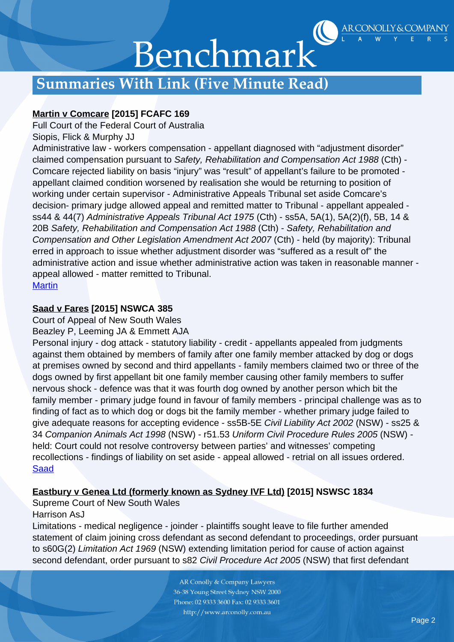

## Benchmark

## *Summaries With Link (Five Minute Read)*

#### **Martin v Comcare [2015] FCAFC 169**

Full Court of the Federal Court of Australia

#### Siopis, Flick & Murphy JJ

Administrative law - workers compensation - appellant diagnosed with "adjustment disorder" claimed compensation pursuant to Safety, Rehabilitation and Compensation Act 1988 (Cth) - Comcare rejected liability on basis "injury" was "result" of appellant's failure to be promoted appellant claimed condition worsened by realisation she would be returning to position of working under certain supervisor - Administrative Appeals Tribunal set aside Comcare's decision- primary judge allowed appeal and remitted matter to Tribunal - appellant appealed ss44 & 44(7) Administrative Appeals Tribunal Act 1975 (Cth) - ss5A, 5A(1), 5A(2)(f), 5B, 14 & 20B Safety, Rehabilitation and Compensation Act 1988 (Cth) - Safety, Rehabilitation and Compensation and Other Legislation Amendment Act 2007 (Cth) - held (by majority): Tribunal erred in approach to issue whether adjustment disorder was "suffered as a result of" the administrative action and issue whether administrative action was taken in reasonable manner appeal allowed - matter remitted to Tribunal. **[Martin](http://www.austlii.edu.au/au/cases/cth/FCAFC/2015/169.html)** 

#### **Saad v Fares [2015] NSWCA 385**

Court of Appeal of New South Wales

Beazley P, Leeming JA & Emmett AJA

Personal injury - dog attack - statutory liability - credit - appellants appealed from judgments against them obtained by members of family after one family member attacked by dog or dogs at premises owned by second and third appellants - family members claimed two or three of the dogs owned by first appellant bit one family member causing other family members to suffer nervous shock - defence was that it was fourth dog owned by another person which bit the family member - primary judge found in favour of family members - principal challenge was as to finding of fact as to which dog or dogs bit the family member - whether primary judge failed to give adequate reasons for accepting evidence - ss5B-5E Civil Liability Act 2002 (NSW) - ss25 & 34 Companion Animals Act 1998 (NSW) - r51.53 Uniform Civil Procedure Rules 2005 (NSW) held: Court could not resolve controversy between parties' and witnesses' competing recollections - findings of liability on set aside - appeal allowed - retrial on all issues ordered. [Saad](https://www.caselaw.nsw.gov.au/decision/565f8c8ee4b05f2c4f0494e7)

#### **Eastbury v Genea Ltd (formerly known as Sydney IVF Ltd) [2015] NSWSC 1834**

Supreme Court of New South Wales

#### Harrison AsJ

Limitations - medical negligence - joinder - plaintiffs sought leave to file further amended statement of claim joining cross defendant as second defendant to proceedings, order pursuant to s60G(2) Limitation Act 1969 (NSW) extending limitation period for cause of action against second defendant, order pursuant to s82 Civil Procedure Act 2005 (NSW) that first defendant

> **AR Conolly & Company Lawyers** 36-38 Young Street Sydney NSW 2000 Phone: 02 9333 3600 Fax: 02 9333 3601 http://www.arconolly.com.au